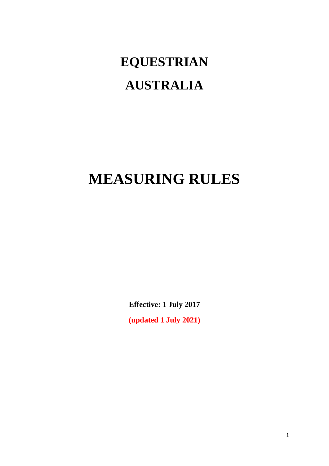# **EQUESTRIAN AUSTRALIA**

## **MEASURING RULES**

**Effective: 1 July 2017**

**(updated 1 July 2021)**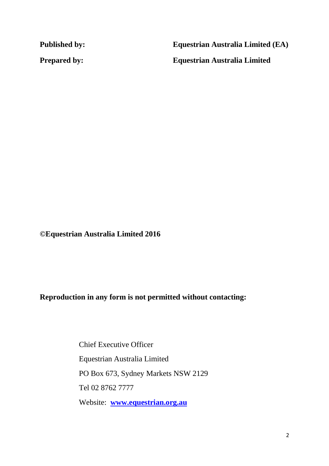**Published by: Equestrian Australia Limited (EA)**

**Prepared by: Equestrian Australia Limited**

**©Equestrian Australia Limited 2016**

**Reproduction in any form is not permitted without contacting:**

Chief Executive Officer Equestrian Australia Limited PO Box 673, Sydney Markets NSW 2129 Tel 02 8762 7777 Website: **[www.equestrian.org.au](http://www.equestrian.org.au/)**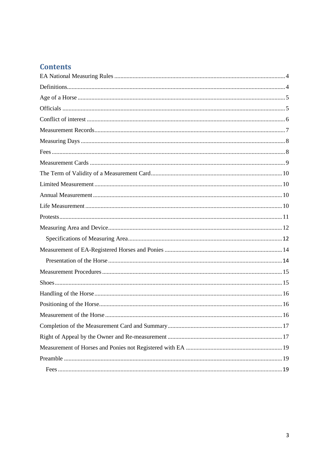### **Contents**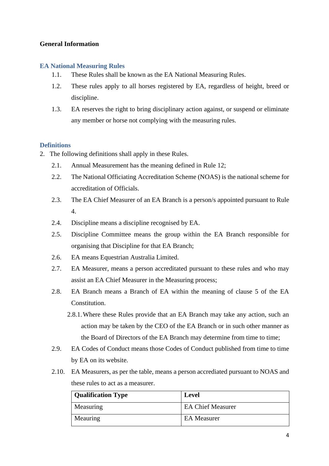#### **General Information**

#### **EA National Measuring Rules**

- 1.1. These Rules shall be known as the EA National Measuring Rules.
- 1.2. These rules apply to all horses registered by EA, regardless of height, breed or discipline.
- 1.3. EA reserves the right to bring disciplinary action against, or suspend or eliminate any member or horse not complying with the measuring rules.

#### **Definitions**

- 2. The following definitions shall apply in these Rules.
	- 2.1. Annual Measurement has the meaning defined in Rule 12;
	- 2.2. The National Officiating Accreditation Scheme (NOAS) is the national scheme for accreditation of Officials.
	- 2.3. The EA Chief Measurer of an EA Branch is a person/s appointed pursuant to Rule 4.
	- 2.4. Discipline means a discipline recognised by EA.
	- 2.5. Discipline Committee means the group within the EA Branch responsible for organising that Discipline for that EA Branch;
	- 2.6. EA means Equestrian Australia Limited.
	- 2.7. EA Measurer, means a person accreditated pursuant to these rules and who may assist an EA Chief Measurer in the Measuring process;
	- 2.8. EA Branch means a Branch of EA within the meaning of clause 5 of the EA Constitution.
		- 2.8.1.Where these Rules provide that an EA Branch may take any action, such an action may be taken by the CEO of the EA Branch or in such other manner as the Board of Directors of the EA Branch may determine from time to time;
	- 2.9. EA Codes of Conduct means those Codes of Conduct published from time to time by EA on its website.
	- 2.10. EA Measurers, as per the table, means a person accrediated pursuant to NOAS and these rules to act as a measurer.

| <b>Qualification Type</b> | Level                    |
|---------------------------|--------------------------|
| Measuring                 | <b>EA Chief Measurer</b> |
| Meauring                  | <b>EA</b> Measurer       |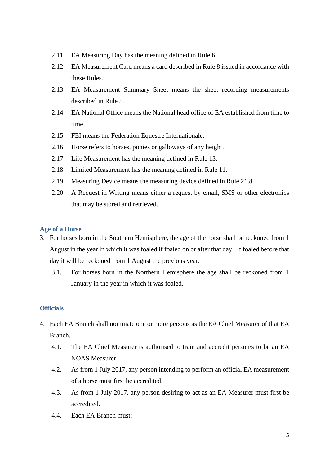- 2.11. EA Measuring Day has the meaning defined in Rule 6.
- 2.12. EA Measurement Card means a card described in Rule 8 issued in accordance with these Rules.
- 2.13. EA Measurement Summary Sheet means the sheet recording measurements described in Rule 5.
- 2.14. EA National Office means the National head office of EA established from time to time.
- 2.15. FEI means the Federation Equestre Internationale.
- 2.16. Horse refers to horses, ponies or galloways of any height.
- 2.17. Life Measurement has the meaning defined in Rule 13.
- 2.18. Limited Measurement has the meaning defined in Rule 11.
- 2.19. Measuring Device means the measuring device defined in Rule 21.8
- 2.20. A Request in Writing means either a request by email, SMS or other electronics that may be stored and retrieved.

#### **Age of a Horse**

- 3. For horses born in the Southern Hemisphere, the age of the horse shall be reckoned from 1 August in the year in which it was foaled if foaled on or after that day. If foaled before that day it will be reckoned from 1 August the previous year.
	- 3.1. For horses born in the Northern Hemisphere the age shall be reckoned from 1 January in the year in which it was foaled.

#### **Officials**

- 4. Each EA Branch shall nominate one or more persons as the EA Chief Measurer of that EA Branch.
	- 4.1. The EA Chief Measurer is authorised to train and accredit person/s to be an EA NOAS Measurer.
	- 4.2. As from 1 July 2017, any person intending to perform an official EA measurement of a horse must first be accredited.
	- 4.3. As from 1 July 2017, any person desiring to act as an EA Measurer must first be accredited.
	- 4.4. Each EA Branch must: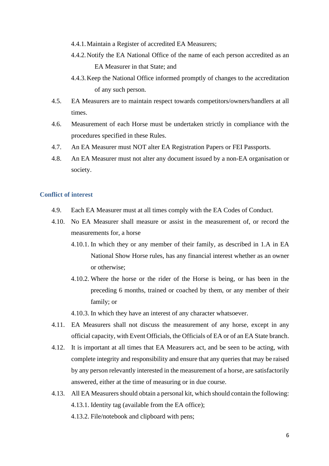- 4.4.1.Maintain a Register of accredited EA Measurers;
- 4.4.2.Notify the EA National Office of the name of each person accredited as an EA Measurer in that State; and
- 4.4.3.Keep the National Office informed promptly of changes to the accreditation of any such person.
- 4.5. EA Measurers are to maintain respect towards competitors/owners/handlers at all times.
- 4.6. Measurement of each Horse must be undertaken strictly in compliance with the procedures specified in these Rules.
- 4.7. An EA Measurer must NOT alter EA Registration Papers or FEI Passports.
- 4.8. An EA Measurer must not alter any document issued by a non-EA organisation or society.

#### **Conflict of interest**

- 4.9. Each EA Measurer must at all times comply with the EA Codes of Conduct.
- 4.10. No EA Measurer shall measure or assist in the measurement of, or record the measurements for, a horse
	- 4.10.1. In which they or any member of their family, as described in 1.A in EA National Show Horse rules, has any financial interest whether as an owner or otherwise;
	- 4.10.2. Where the horse or the rider of the Horse is being, or has been in the preceding 6 months, trained or coached by them, or any member of their family; or

4.10.3. In which they have an interest of any character whatsoever.

- 4.11. EA Measurers shall not discuss the measurement of any horse, except in any official capacity, with Event Officials, the Officials of EA or of an EA State branch.
- 4.12. It is important at all times that EA Measurers act, and be seen to be acting, with complete integrity and responsibility and ensure that any queries that may be raised by any person relevantly interested in the measurement of a horse, are satisfactorily answered, either at the time of measuring or in due course.
- 4.13. All EA Measurers should obtain a personal kit, which should contain the following: 4.13.1. Identity tag (available from the EA office);
	- 4.13.2. File/notebook and clipboard with pens;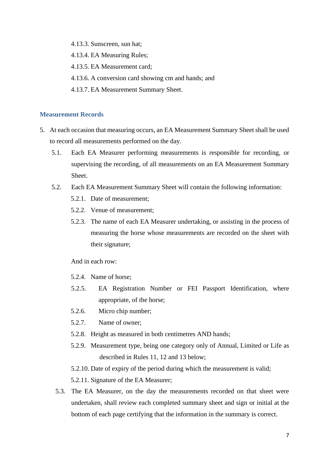- 4.13.3. Sunscreen, sun hat;
- 4.13.4. EA Measuring Rules;
- 4.13.5. EA Measurement card;
- 4.13.6. A conversion card showing cm and hands; and
- 4.13.7. EA Measurement Summary Sheet.

#### **Measurement Records**

- 5. At each occasion that measuring occurs, an EA Measurement Summary Sheet shall be used to record all measurements performed on the day.
	- 5.1. Each EA Measurer performing measurements is responsible for recording, or supervising the recording, of all measurements on an EA Measurement Summary Sheet.
	- 5.2. Each EA Measurement Summary Sheet will contain the following information:
		- 5.2.1. Date of measurement;
		- 5.2.2. Venue of measurement;
		- 5.2.3. The name of each EA Measurer undertaking, or assisting in the process of measuring the horse whose measurements are recorded on the sheet with their signature;

And in each row:

- 5.2.4. Name of horse;
- 5.2.5. EA Registration Number or FEI Passport Identification, where appropriate, of the horse;
- 5.2.6. Micro chip number;
- 5.2.7. Name of owner;
- 5.2.8. Height as measured in both centimetres AND hands;
- 5.2.9. Measurement type, being one category only of Annual, Limited or Life as described in Rules 11, 12 and 13 below;
- 5.2.10. Date of expiry of the period during which the measurement is valid;
- 5.2.11. Signature of the EA Measurer;
- 5.3. The EA Measurer, on the day the measurements recorded on that sheet were undertaken, shall review each completed summary sheet and sign or initial at the bottom of each page certifying that the information in the summary is correct.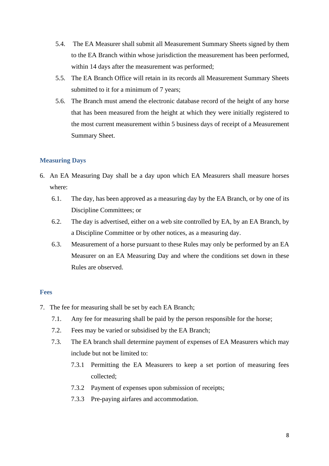- 5.4. The EA Measurer shall submit all Measurement Summary Sheets signed by them to the EA Branch within whose jurisdiction the measurement has been performed, within 14 days after the measurement was performed;
- 5.5. The EA Branch Office will retain in its records all Measurement Summary Sheets submitted to it for a minimum of 7 years;
- 5.6. The Branch must amend the electronic database record of the height of any horse that has been measured from the height at which they were initially registered to the most current measurement within 5 business days of receipt of a Measurement Summary Sheet.

#### **Measuring Days**

- 6. An EA Measuring Day shall be a day upon which EA Measurers shall measure horses where:
	- 6.1. The day, has been approved as a measuring day by the EA Branch, or by one of its Discipline Committees; or
	- 6.2. The day is advertised, either on a web site controlled by EA, by an EA Branch, by a Discipline Committee or by other notices, as a measuring day.
	- 6.3. Measurement of a horse pursuant to these Rules may only be performed by an EA Measurer on an EA Measuring Day and where the conditions set down in these Rules are observed.

#### **Fees**

- 7. The fee for measuring shall be set by each EA Branch;
	- 7.1. Any fee for measuring shall be paid by the person responsible for the horse;
	- 7.2. Fees may be varied or subsidised by the EA Branch;
	- 7.3. The EA branch shall determine payment of expenses of EA Measurers which may include but not be limited to:
		- 7.3.1 Permitting the EA Measurers to keep a set portion of measuring fees collected;
		- 7.3.2 Payment of expenses upon submission of receipts;
		- 7.3.3 Pre-paying airfares and accommodation.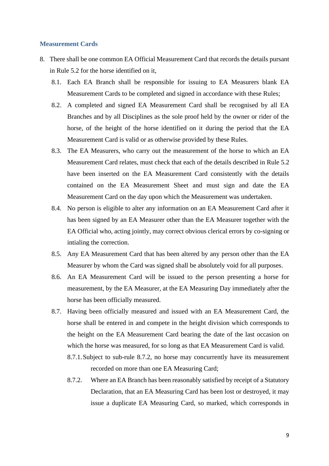#### **Measurement Cards**

- 8. There shall be one common EA Official Measurement Card that records the details pursant in Rule 5.2 for the horse identified on it,
	- 8.1. Each EA Branch shall be responsible for issuing to EA Measurers blank EA Measurement Cards to be completed and signed in accordance with these Rules;
	- 8.2. A completed and signed EA Measurement Card shall be recognised by all EA Branches and by all Disciplines as the sole proof held by the owner or rider of the horse, of the height of the horse identified on it during the period that the EA Measurement Card is valid or as otherwise provided by these Rules.
	- 8.3. The EA Measurers, who carry out the measurement of the horse to which an EA Measurement Card relates, must check that each of the details described in Rule 5.2 have been inserted on the EA Measurement Card consistently with the details contained on the EA Measurement Sheet and must sign and date the EA Measurement Card on the day upon which the Measurement was undertaken.
	- 8.4. No person is eligible to alter any information on an EA Measurement Card after it has been signed by an EA Measurer other than the EA Measurer together with the EA Official who, acting jointly, may correct obvious clerical errors by co-signing or intialing the correction.
	- 8.5. Any EA Measurement Card that has been altered by any person other than the EA Measurer by whom the Card was signed shall be absolutely void for all purposes.
	- 8.6. An EA Measurement Card will be issued to the person presenting a horse for measurement, by the EA Measurer, at the EA Measuring Day immediately after the horse has been officially measured.
	- 8.7. Having been officially measured and issued with an EA Measurement Card, the horse shall be entered in and compete in the height division which corresponds to the height on the EA Measurement Card bearing the date of the last occasion on which the horse was measured, for so long as that EA Measurement Card is valid.
		- 8.7.1.Subject to sub-rule 8.7.2, no horse may concurrently have its measurement recorded on more than one EA Measuring Card;
		- 8.7.2. Where an EA Branch has been reasonably satisfied by receipt of a Statutory Declaration, that an EA Measuring Card has been lost or destroyed, it may issue a duplicate EA Measuring Card, so marked, which corresponds in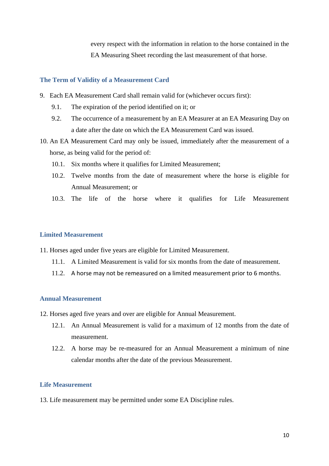every respect with the information in relation to the horse contained in the EA Measuring Sheet recording the last measurement of that horse.

#### **The Term of Validity of a Measurement Card**

- 9. Each EA Measurement Card shall remain valid for (whichever occurs first):
	- 9.1. The expiration of the period identified on it; or
	- 9.2. The occurrence of a measurement by an EA Measurer at an EA Measuring Day on a date after the date on which the EA Measurement Card was issued.
- 10. An EA Measurement Card may only be issued, immediately after the measurement of a horse, as being valid for the period of:
	- 10.1. Six months where it qualifies for Limited Measurement;
	- 10.2. Twelve months from the date of measurement where the horse is eligible for Annual Measurement; or
	- 10.3. The life of the horse where it qualifies for Life Measurement

#### **Limited Measurement**

- 11. Horses aged under five years are eligible for Limited Measurement.
	- 11.1. A Limited Measurement is valid for six months from the date of measurement.
	- 11.2. A horse may not be remeasured on a limited measurement prior to 6 months.

#### **Annual Measurement**

- 12. Horses aged five years and over are eligible for Annual Measurement.
	- 12.1. An Annual Measurement is valid for a maximum of 12 months from the date of measurement.
	- 12.2. A horse may be re-measured for an Annual Measurement a minimum of nine calendar months after the date of the previous Measurement.

#### **Life Measurement**

13. Life measurement may be permitted under some EA Discipline rules.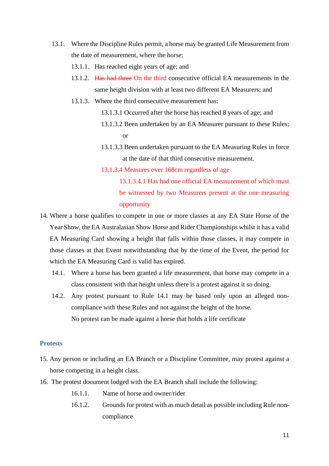- 13.1. Where the Discipline Rules permit, a horse may be granted Life Measurement from the date of measurement, where the horse:
	- 13.1.1. Has reached eight years of age; and
	- 13.1.2. Has had three On the third consecutive official EA measurements in the same height division with at least two different EA Measurers; and
	- 13.1.3. Where the third consecutive measurement has:
		- 13.1.3.1 Occurred after the horse has reached 8 years of age; and
		- 13.1.3.2 Been undertaken by an EA Measurer pursuant to these Rules; or
		- 13.1.3.3 Been undertaken pursuant to the EA Measuring Rules in force at the date of that third consecutive measurement.
		- 13.1.3.4 Measures over 168cm regardless of age

13.1.3.4.1 Has had one official EA measurement of which must be witnessed by two Measurers present at the one measuring opportunity

- 14. Where a horse qualifies to compete in one or more classes at any EA State Horse of the Year Show, the EA Australasian Show Horse and Rider Championships whilst it has a valid EA Measuring Card showing a height that falls within those classes, it may compete in those classes at that Event notwithstanding that by the time of the Event, the period for which the EA Measuring Card is valid has expired.
	- 14.1. Where a horse has been granted a life measurement, that horse may compete in a class consistent with that height unless there is a protest against it so doing.
	- 14.2. Any protest pursuant to Rule 14.1 may be based only upon an alleged noncompliance with these Rules and not against the height of the horse. No protest can be made against a horse that holds a life certificate

#### **Protests**

- 15. Any person or including an EA Branch or a Discipline Committee, may protest against a horse competing in a height class.
- 16. The protest document lodged with the EA Branch shall include the following:
	- 16.1.1. Name of horse and owner/rider
	- 16.1.2. Grounds for protest with as much detail as possible including Rule noncompliance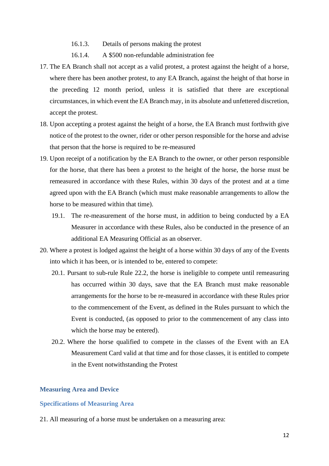- 16.1.3. Details of persons making the protest
- 16.1.4. A \$500 non-refundable administration fee
- 17. The EA Branch shall not accept as a valid protest, a protest against the height of a horse, where there has been another protest, to any EA Branch, against the height of that horse in the preceding 12 month period, unless it is satisfied that there are exceptional circumstances, in which event the EA Branch may, in its absolute and unfettered discretion, accept the protest.
- 18. Upon accepting a protest against the height of a horse, the EA Branch must forthwith give notice of the protest to the owner, rider or other person responsible for the horse and advise that person that the horse is required to be re-measured
- 19. Upon receipt of a notification by the EA Branch to the owner, or other person responsible for the horse, that there has been a protest to the height of the horse, the horse must be remeasured in accordance with these Rules, within 30 days of the protest and at a time agreed upon with the EA Branch (which must make reasonable arrangements to allow the horse to be measured within that time).
	- 19.1. The re-measurement of the horse must, in addition to being conducted by a EA Measurer in accordance with these Rules, also be conducted in the presence of an additional EA Measuring Official as an observer.
- 20. Where a protest is lodged against the height of a horse within 30 days of any of the Events into which it has been, or is intended to be, entered to compete:
	- 20.1. Pursant to sub-rule Rule 22.2, the horse is ineligible to compete until remeasuring has occurred within 30 days, save that the EA Branch must make reasonable arrangements for the horse to be re-measured in accordance with these Rules prior to the commencement of the Event, as defined in the Rules pursuant to which the Event is conducted, (as opposed to prior to the commencement of any class into which the horse may be entered).
	- 20.2. Where the horse qualified to compete in the classes of the Event with an EA Measurement Card valid at that time and for those classes, it is entitled to compete in the Event notwithstanding the Protest

#### **Measuring Area and Device**

#### **Specifications of Measuring Area**

21. All measuring of a horse must be undertaken on a measuring area: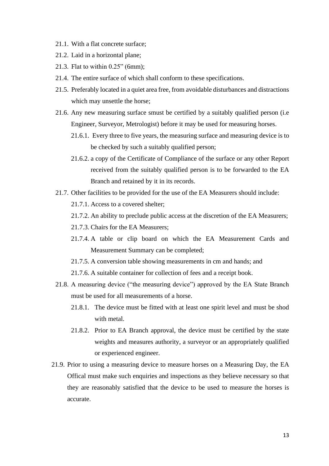- 21.1. With a flat concrete surface;
- 21.2. Laid in a horizontal plane;
- 21.3. Flat to within 0.25" (6mm);
- 21.4. The entire surface of which shall conform to these specifications.
- 21.5. Preferably located in a quiet area free, from avoidable disturbances and distractions which may unsettle the horse;
- 21.6. Any new measuring surface smust be certified by a suitably qualified person (i.e Engineer, Surveyor, Metrologist) before it may be used for measuring horses.
	- 21.6.1. Every three to five years, the measuring surface and measuring device is to be checked by such a suitably qualified person;
	- 21.6.2. a copy of the Certificate of Compliance of the surface or any other Report received from the suitably qualified person is to be forwarded to the EA Branch and retained by it in its records.
- 21.7. Other facilities to be provided for the use of the EA Measurers should include:
	- 21.7.1. Access to a covered shelter;
	- 21.7.2. An ability to preclude public access at the discretion of the EA Measurers;
	- 21.7.3. Chairs for the EA Measurers;
	- 21.7.4. A table or clip board on which the EA Measurement Cards and Measurement Summary can be completed;
	- 21.7.5. A conversion table showing measurements in cm and hands; and
	- 21.7.6. A suitable container for collection of fees and a receipt book.
- 21.8. A measuring device ("the measuring device") approved by the EA State Branch must be used for all measurements of a horse.
	- 21.8.1. The device must be fitted with at least one spirit level and must be shod with metal.
	- 21.8.2. Prior to EA Branch approval, the device must be certified by the state weights and measures authority, a surveyor or an appropriately qualified or experienced engineer.
- 21.9. Prior to using a measuring device to measure horses on a Measuring Day, the EA Offical must make such enquiries and inspections as they believe necessary so that they are reasonably satisfied that the device to be used to measure the horses is accurate.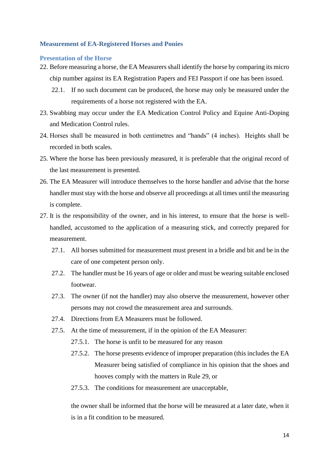#### **Measurement of EA-Registered Horses and Ponies**

#### **Presentation of the Horse**

- 22. Before measuring a horse, the EA Measurers shall identify the horse by comparing its micro chip number against its EA Registration Papers and FEI Passport if one has been issued.
	- 22.1. If no such document can be produced, the horse may only be measured under the requirements of a horse not registered with the EA.
- 23. Swabbing may occur under the EA Medication Control Policy and Equine Anti-Doping and Medication Control rules.
- 24. Horses shall be measured in both centimetres and "hands" (4 inches). Heights shall be recorded in both scales.
- 25. Where the horse has been previously measured, it is preferable that the original record of the last measurement is presented.
- 26. The EA Measurer will introduce themselves to the horse handler and advise that the horse handler must stay with the horse and observe all proceedings at all times until the measuring is complete.
- 27. It is the responsibility of the owner, and in his interest, to ensure that the horse is wellhandled, accustomed to the application of a measuring stick, and correctly prepared for measurement.
	- 27.1. All horses submitted for measurement must present in a bridle and bit and be in the care of one competent person only.
	- 27.2. The handler must be 16 years of age or older and must be wearing suitable enclosed footwear.
	- 27.3. The owner (if not the handler) may also observe the measurement, however other persons may not crowd the measurement area and surrounds.
	- 27.4. Directions from EA Measurers must be followed.
	- 27.5. At the time of measurement, if in the opinion of the EA Measurer:
		- 27.5.1. The horse is unfit to be measured for any reason
		- 27.5.2. The horse presents evidence of improper preparation (this includes the EA Measurer being satisfied of compliance in his opinion that the shoes and hooves comply with the matters in Rule 29, or
		- 27.5.3. The conditions for measurement are unacceptable,

the owner shall be informed that the horse will be measured at a later date, when it is in a fit condition to be measured.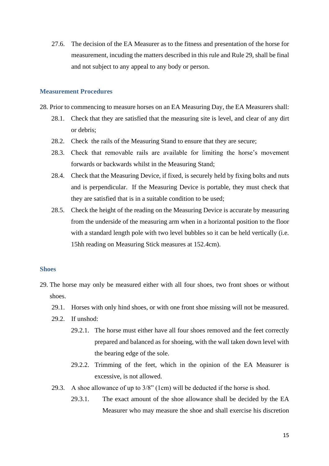27.6. The decision of the EA Measurer as to the fitness and presentation of the horse for measurement, incuding the matters described in this rule and Rule 29, shall be final and not subject to any appeal to any body or person.

#### **Measurement Procedures**

- 28. Prior to commencing to measure horses on an EA Measuring Day, the EA Measurers shall:
	- 28.1. Check that they are satisfied that the measuring site is level, and clear of any dirt or debris;
	- 28.2. Check the rails of the Measuring Stand to ensure that they are secure;
	- 28.3. Check that removable rails are available for limiting the horse's movement forwards or backwards whilst in the Measuring Stand;
	- 28.4. Check that the Measuring Device, if fixed, is securely held by fixing bolts and nuts and is perpendicular. If the Measuring Device is portable, they must check that they are satisfied that is in a suitable condition to be used;
	- 28.5. Check the height of the reading on the Measuring Device is accurate by measuring from the underside of the measuring arm when in a horizontal position to the floor with a standard length pole with two level bubbles so it can be held vertically (i.e. 15hh reading on Measuring Stick measures at 152.4cm).

#### **Shoes**

- 29. The horse may only be measured either with all four shoes, two front shoes or without shoes.
	- 29.1. Horses with only hind shoes, or with one front shoe missing will not be measured.
	- 29.2. If unshod:
		- 29.2.1. The horse must either have all four shoes removed and the feet correctly prepared and balanced as for shoeing, with the wall taken down level with the bearing edge of the sole.
		- 29.2.2. Trimming of the feet, which in the opinion of the EA Measurer is excessive, is not allowed.
	- 29.3. A shoe allowance of up to 3/8" (1cm) will be deducted if the horse is shod.
		- 29.3.1. The exact amount of the shoe allowance shall be decided by the EA Measurer who may measure the shoe and shall exercise his discretion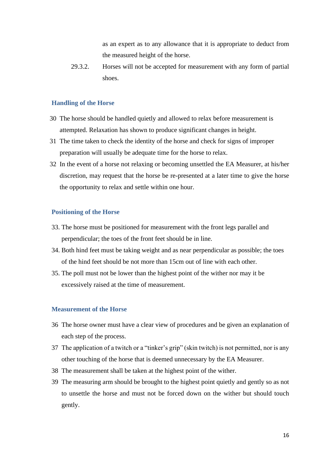as an expert as to any allowance that it is appropriate to deduct from the measured height of the horse.

29.3.2. Horses will not be accepted for measurement with any form of partial shoes.

#### **Handling of the Horse**

- 30 The horse should be handled quietly and allowed to relax before measurement is attempted. Relaxation has shown to produce significant changes in height.
- 31 The time taken to check the identity of the horse and check for signs of improper preparation will usually be adequate time for the horse to relax.
- 32 In the event of a horse not relaxing or becoming unsettled the EA Measurer, at his/her discretion, may request that the horse be re-presented at a later time to give the horse the opportunity to relax and settle within one hour.

#### **Positioning of the Horse**

- 33. The horse must be positioned for measurement with the front legs parallel and perpendicular; the toes of the front feet should be in line.
- 34. Both hind feet must be taking weight and as near perpendicular as possible; the toes of the hind feet should be not more than 15cm out of line with each other.
- 35. The poll must not be lower than the highest point of the wither nor may it be excessively raised at the time of measurement.

#### **Measurement of the Horse**

- 36 The horse owner must have a clear view of procedures and be given an explanation of each step of the process.
- 37 The application of a twitch or a "tinker's grip" (skin twitch) is not permitted, nor is any other touching of the horse that is deemed unnecessary by the EA Measurer.
- 38 The measurement shall be taken at the highest point of the wither.
- 39 The measuring arm should be brought to the highest point quietly and gently so as not to unsettle the horse and must not be forced down on the wither but should touch gently.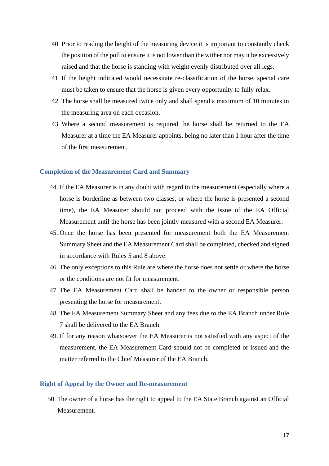- 40 Prior to reading the height of the measuring device it is important to constantly check the position of the poll to ensure it is not lower than the wither nor may it be excessively raised and that the horse is standing with weight evenly distributed over all legs.
- 41 If the height indicated would necessitate re-classification of the horse, special care must be taken to ensure that the horse is given every opportunity to fully relax.
- 42 The horse shall be measured twice only and shall spend a maximum of 10 minutes in the measuring area on each occasion.
- 43 Where a second measurement is required the horse shall be returned to the EA Measurer at a time the EA Measurer appoints, being no later than 1 hour after the time of the first measurement.

#### **Completion of the Measurement Card and Summary**

- 44. If the EA Measurer is in any doubt with regard to the measurement (especially where a horse is borderline as between two classes, or where the horse is presented a second time), the EA Measurer should not proceed with the issue of the EA Official Measurement until the horse has been jointly measured with a second EA Measurer.
- 45. Once the horse has been presented for measurement both the EA Measurement Summary Sheet and the EA Measurement Card shall be completed, checked and signed in accordance with Rules 5 and 8 above.
- 46. The only exceptions to this Rule are where the horse does not settle or where the horse or the conditions are not fit for measurement.
- 47. The EA Measurement Card shall be handed to the owner or responsible person presenting the horse for measurement.
- 48. The EA Measurement Summary Sheet and any fees due to the EA Branch under Rule 7 shall be delivered to the EA Branch.
- 49. If for any reason whatsoever the EA Measurer is not satisfied with any aspect of the measurement, the EA Measurement Card should not be completed or issued and the matter referred to the Chief Measurer of the EA Branch.

#### **Right of Appeal by the Owner and Re-measurement**

50 The owner of a horse has the right to appeal to the EA State Branch against an Official Measurement.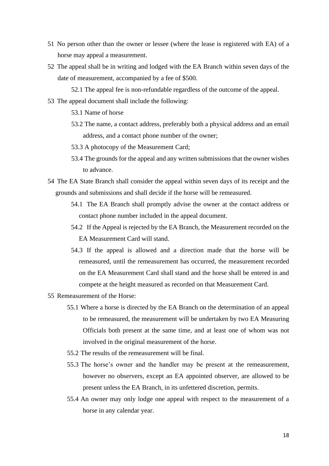- 51 No person other than the owner or lessee (where the lease is registered with EA) of a horse may appeal a measurement.
- 52 The appeal shall be in writing and lodged with the EA Branch within seven days of the date of measurement, accompanied by a fee of \$500.

52.1 The appeal fee is non-refundable regardless of the outcome of the appeal.

53 The appeal document shall include the following:

53.1 Name of horse

- 53.2 The name, a contact address, preferably both a physical address and an email address, and a contact phone number of the owner;
- 53.3 A photocopy of the Measurement Card;
- 53.4 The grounds for the appeal and any written submissions that the owner wishes to advance.
- 54 The EA State Branch shall consider the appeal within seven days of its receipt and the grounds and submissions and shall decide if the horse will be remeasured.
	- 54.1 The EA Branch shall promptly advise the owner at the contact address or contact phone number included in the appeal document.
	- 54.2 If the Appeal is rejected by the EA Branch, the Measurement recorded on the EA Measurement Card will stand.
	- 54.3 If the appeal is allowed and a direction made that the horse will be remeasured, until the remeasurement has occurred, the measurement recorded on the EA Measurement Card shall stand and the horse shall be entered in and compete at the height measured as recorded on that Measurement Card.
- 55 Remeasurement of the Horse:
	- 55.1 Where a horse is directed by the EA Branch on the determination of an appeal to be remeasured, the measurement will be undertaken by two EA Measuring Officials both present at the same time, and at least one of whom was not involved in the original measurement of the horse.
	- 55.2 The results of the remeasurement will be final.
	- 55.3 The horse's owner and the handler may be present at the remeasurement, however no observers, except an EA appointed observer, are allowed to be present unless the EA Branch, in its unfettered discretion, permits.
	- 55.4 An owner may only lodge one appeal with respect to the measurement of a horse in any calendar year.